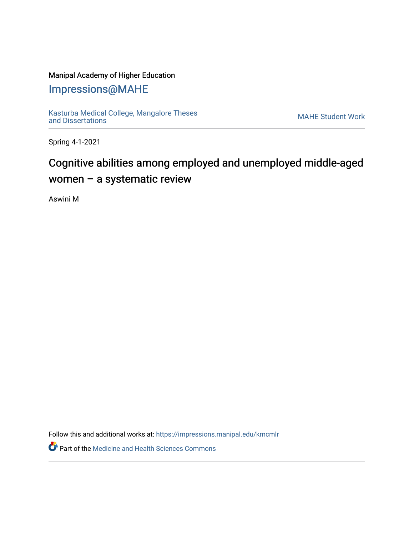### Manipal Academy of Higher Education

## [Impressions@MAHE](https://impressions.manipal.edu/)

[Kasturba Medical College, Mangalore Theses](https://impressions.manipal.edu/kmcmlr) Kasturba Medical College, Mangalore Theses<br>[and Dissertations](https://impressions.manipal.edu/kmcmlr) MAHE Student Work

Spring 4-1-2021

# Cognitive abilities among employed and unemployed middle-aged women – a systematic review

Aswini M

Follow this and additional works at: [https://impressions.manipal.edu/kmcmlr](https://impressions.manipal.edu/kmcmlr?utm_source=impressions.manipal.edu%2Fkmcmlr%2F222&utm_medium=PDF&utm_campaign=PDFCoverPages) 

**Part of the Medicine and Health Sciences Commons**